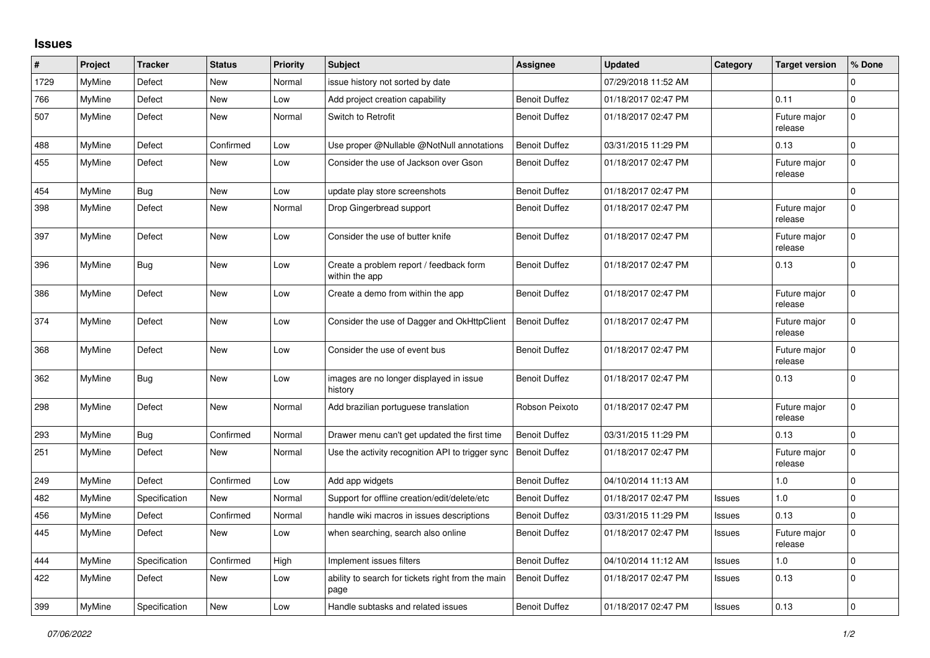## **Issues**

| #    | Project | <b>Tracker</b> | <b>Status</b> | <b>Priority</b> | <b>Subject</b>                                            | Assignee             | <b>Updated</b>      | Category      | <b>Target version</b>   | % Done       |
|------|---------|----------------|---------------|-----------------|-----------------------------------------------------------|----------------------|---------------------|---------------|-------------------------|--------------|
| 1729 | MyMine  | Defect         | New           | Normal          | issue history not sorted by date                          |                      | 07/29/2018 11:52 AM |               |                         | $\Omega$     |
| 766  | MyMine  | Defect         | New           | Low             | Add project creation capability                           | <b>Benoit Duffez</b> | 01/18/2017 02:47 PM |               | 0.11                    | $\Omega$     |
| 507  | MyMine  | Defect         | New           | Normal          | Switch to Retrofit                                        | <b>Benoit Duffez</b> | 01/18/2017 02:47 PM |               | Future major<br>release | $\Omega$     |
| 488  | MyMine  | Defect         | Confirmed     | Low             | Use proper @Nullable @NotNull annotations                 | <b>Benoit Duffez</b> | 03/31/2015 11:29 PM |               | 0.13                    | $\Omega$     |
| 455  | MyMine  | Defect         | New           | Low             | Consider the use of Jackson over Gson                     | <b>Benoit Duffez</b> | 01/18/2017 02:47 PM |               | Future major<br>release | $\Omega$     |
| 454  | MyMine  | Bug            | New           | Low             | update play store screenshots                             | <b>Benoit Duffez</b> | 01/18/2017 02:47 PM |               |                         | $\Omega$     |
| 398  | MyMine  | Defect         | New           | Normal          | Drop Gingerbread support                                  | <b>Benoit Duffez</b> | 01/18/2017 02:47 PM |               | Future major<br>release | $\Omega$     |
| 397  | MyMine  | Defect         | <b>New</b>    | Low             | Consider the use of butter knife                          | <b>Benoit Duffez</b> | 01/18/2017 02:47 PM |               | Future major<br>release | $\Omega$     |
| 396  | MyMine  | <b>Bug</b>     | New           | Low             | Create a problem report / feedback form<br>within the app | <b>Benoit Duffez</b> | 01/18/2017 02:47 PM |               | 0.13                    | $\Omega$     |
| 386  | MyMine  | Defect         | New           | Low             | Create a demo from within the app                         | <b>Benoit Duffez</b> | 01/18/2017 02:47 PM |               | Future major<br>release | $\Omega$     |
| 374  | MyMine  | Defect         | New           | Low             | Consider the use of Dagger and OkHttpClient               | <b>Benoit Duffez</b> | 01/18/2017 02:47 PM |               | Future major<br>release | $\Omega$     |
| 368  | MyMine  | Defect         | New           | Low             | Consider the use of event bus                             | <b>Benoit Duffez</b> | 01/18/2017 02:47 PM |               | Future major<br>release | 0            |
| 362  | MvMine  | <b>Bug</b>     | <b>New</b>    | Low             | images are no longer displayed in issue<br>history        | <b>Benoit Duffez</b> | 01/18/2017 02:47 PM |               | 0.13                    | $\Omega$     |
| 298  | MyMine  | Defect         | <b>New</b>    | Normal          | Add brazilian portuguese translation                      | Robson Peixoto       | 01/18/2017 02:47 PM |               | Future major<br>release | $\Omega$     |
| 293  | MyMine  | <b>Bug</b>     | Confirmed     | Normal          | Drawer menu can't get updated the first time              | <b>Benoit Duffez</b> | 03/31/2015 11:29 PM |               | 0.13                    | $\Omega$     |
| 251  | MvMine  | Defect         | New           | Normal          | Use the activity recognition API to trigger sync          | <b>Benoit Duffez</b> | 01/18/2017 02:47 PM |               | Future major<br>release | $\Omega$     |
| 249  | MyMine  | Defect         | Confirmed     | Low             | Add app widgets                                           | <b>Benoit Duffez</b> | 04/10/2014 11:13 AM |               | 1.0                     | $\Omega$     |
| 482  | MyMine  | Specification  | <b>New</b>    | Normal          | Support for offline creation/edit/delete/etc              | <b>Benoit Duffez</b> | 01/18/2017 02:47 PM | Issues        | 1.0                     | $\mathbf 0$  |
| 456  | MyMine  | Defect         | Confirmed     | Normal          | handle wiki macros in issues descriptions                 | <b>Benoit Duffez</b> | 03/31/2015 11:29 PM | Issues        | 0.13                    | $\mathbf{0}$ |
| 445  | MyMine  | Defect         | New           | Low             | when searching, search also online                        | <b>Benoit Duffez</b> | 01/18/2017 02:47 PM | Issues        | Future major<br>release | $\Omega$     |
| 444  | MyMine  | Specification  | Confirmed     | High            | Implement issues filters                                  | <b>Benoit Duffez</b> | 04/10/2014 11:12 AM | <b>Issues</b> | $1.0$                   | $\mathbf 0$  |
| 422  | MyMine  | Defect         | <b>New</b>    | Low             | ability to search for tickets right from the main<br>page | <b>Benoit Duffez</b> | 01/18/2017 02:47 PM | <b>Issues</b> | 0.13                    | $\Omega$     |
| 399  | MyMine  | Specification  | New           | Low             | Handle subtasks and related issues                        | <b>Benoit Duffez</b> | 01/18/2017 02:47 PM | Issues        | 0.13                    | $\Omega$     |